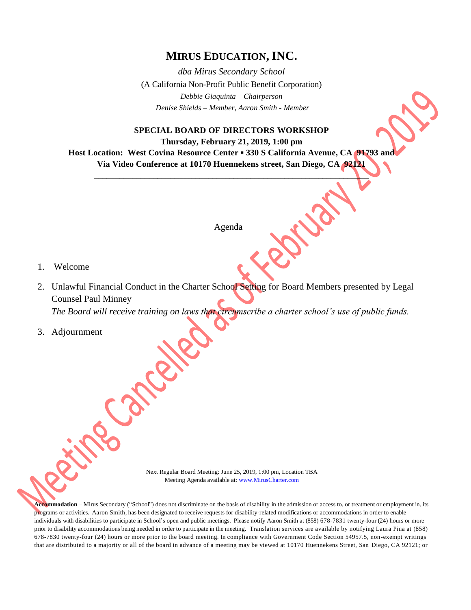## **MIRUS EDUCATION, INC.**

*dba Mirus Secondary School* (A California Non-Profit Public Benefit Corporation) *Debbie Giaquinta – Chairperson Denise Shields – Member, Aaron Smith - Member*

**SPECIAL BOARD OF DIRECTORS WORKSHOP Thursday, February 21, 2019, 1:00 pm Host Location: West Covina Resource Center ▪ 330 S California Avenue, CA 91793 and Via Video Conference at 10170 Huennekens street, San Diego, CA 92121**

\_\_\_\_\_\_\_\_\_\_\_\_\_\_\_\_\_\_\_\_\_\_\_\_\_\_\_\_\_\_\_\_\_\_\_\_\_\_\_\_\_\_\_\_\_\_\_\_\_\_\_\_\_\_\_\_\_\_\_\_\_\_\_\_\_

Agenda

- 1. Welcome
- 2. Unlawful Financial Conduct in the Charter School Setting for Board Members presented by Legal Counsel Paul Minney *The Board will receive training on laws that circumscribe a charter school's use of public funds.*
- 3. Adjournment

Next Regular Board Meeting: June 25, 2019, 1:00 pm, Location TBA Meeting Agenda available at[: www.MirusCharter.com](http://www.miruscharter.com/)

**Accommodation** – Mirus Secondary ("School") does not discriminate on the basis of disability in the admission or access to, or treatment or employment in, its programs or activities. Aaron Smith, has been designated to receive requests for disability-related modifications or accommodations in order to enable individuals with disabilities to participate in School's open and public meetings. Please notify Aaron Smith at (858) 678-7831 twenty-four (24) hours or more prior to disability accommodations being needed in order to participate in the meeting. Translation services are available by notifying Laura Pina at (858) 678-7830 twenty-four (24) hours or more prior to the board meeting. In compliance with Government Code Section 54957.5, non-exempt writings that are distributed to a majority or all of the board in advance of a meeting may be viewed at 10170 Huennekens Street, San Diego, CA 92121; or